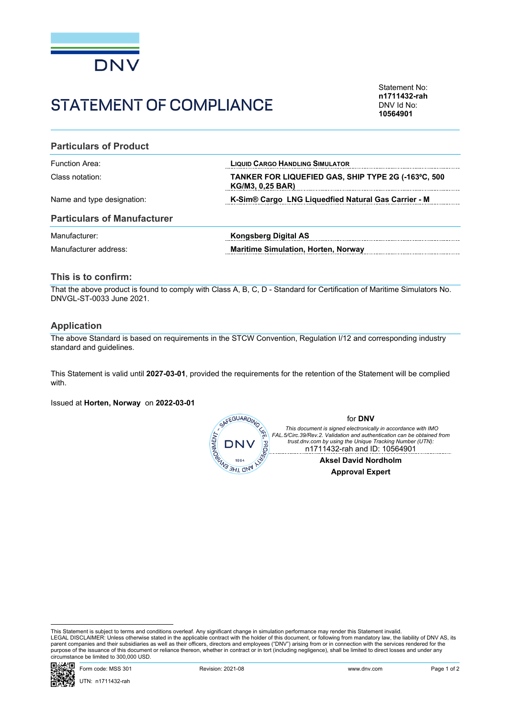

# STATEMENT OF COMPLIANCE

Statement No: **n1711432-rah** DNV Id No: **10564901**

### **Particulars of Product**

| Function Area:             | <b>LIQUID CARGO HANDLING SIMULATOR</b>                                         |  |  |
|----------------------------|--------------------------------------------------------------------------------|--|--|
| Class notation:            | TANKER FOR LIQUEFIED GAS, SHIP TYPE 2G (-163°C, 500<br><b>KG/M3, 0.25 BAR)</b> |  |  |
| Name and type designation: | K-Sim® Cargo LNG Liquedfied Natural Gas Carrier - M                            |  |  |

#### **Particulars of Manufacturer**

| Manufacturer:         | Kongsberg Digital AS                       |
|-----------------------|--------------------------------------------|
| Manufacturer address: | <b>Maritime Simulation, Horten, Norway</b> |

# **This is to confirm:**

That the above product is found to comply with Class A, B, C, D - Standard for Certification of Maritime Simulators No. DNVGL-ST-0033 June 2021.

## **Application**

The above Standard is based on requirements in the STCW Convention, Regulation I/12 and corresponding industry standard and guidelines.

This Statement is valid until **2027-03-01**, provided the requirements for the retention of the Statement will be complied with.

Issued at **Horten, Norway** on **2022-03-01**



This Statement is subject to terms and conditions overleaf. Any significant change in simulation performance may render this Statement invalid.<br>LEGAL DISCLAIMER: Unless otherwise stated in the applicable contract with the purpose of the issuance of this document or reliance thereon, whether in contract or in tort (including negligence), shall be limited to direct losses and under any circumstance be limited to 300,000 USD.